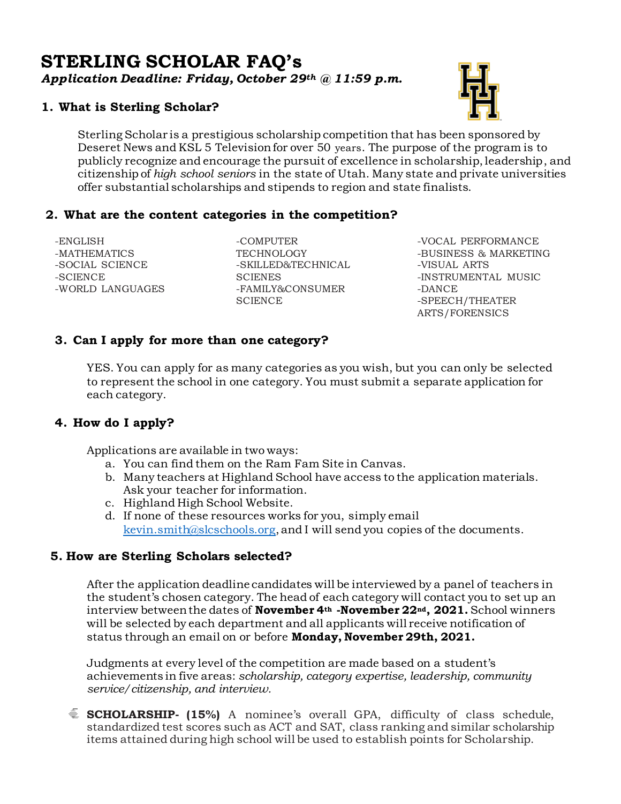# **STERLING SCHOLAR FAQ's** *Application Deadline: Friday, October 29th @ 11:59 p.m.*

## **1. What is Sterling Scholar?**

Sterling Scholar is a prestigious scholarship competition that has been sponsored by Deseret News and KSL 5 Television for over 50 years. The purpose of the program is to publicly recognize and encourage the pursuit of excellence in scholarship, leadership, and citizenship of *high school seniors* in the state of Utah. Many state and private universities offer substantial scholarships and stipends to region and state finalists.

### **2. What are the content categories in the competition?**

-ENGLISH -MATHEMATICS -SOCIAL SCIENCE -SCIENCE -WORLD LANGUAGES

-COMPUTER **TECHNOLOGY** -SKILLED&TECHNICAL **SCIENES** -FAMILY&CONSUMER **SCIENCE** 

-VOCAL PERFORMANCE -BUSINESS & MARKETING -VISUAL ARTS -INSTRUMENTAL MUSIC -DANCE -SPEECH/THEATER ARTS/FORENSICS

## **3. Can I apply for more than one category?**

YES. You can apply for as many categories as you wish, but you can only be selected to represent the school in one category. You must submit a separate application for each category.

## **4. How do I apply?**

Applications are available in two ways:

- a. You can find them on the Ram Fam Site in Canvas.
- b. Many teachers at Highland School have access to the application materials. Ask your teacher for information.
- c. Highland High School Website.
- d. If none of these resources works for you, simply email [kevin.smith@slcschools.org](mailto:kevin.smith@slcschools.org), and I will send you copies of the documents.

### **5. How are Sterling Scholars selected?**

After the application deadline candidates will be interviewed by a panel of teachers in the student's chosen category. The head of each category will contact you to set up an interview between the dates of **November 4th -November 22nd, 2021.** School winners will be selected by each department and all applicants will receive notification of status through an email on or before **Monday, November 29th, 2021.** 

Judgments at every level of the competition are made based on a student's achievements in five areas: *scholarship, category expertise, leadership, community service/citizenship, and interview.*

**SCHOLARSHIP- (15%)** A nominee's overall GPA, difficulty of class schedule, standardized test scores such as ACT and SAT, class ranking and similar scholarship items attained during high school will be used to establish points for Scholarship.